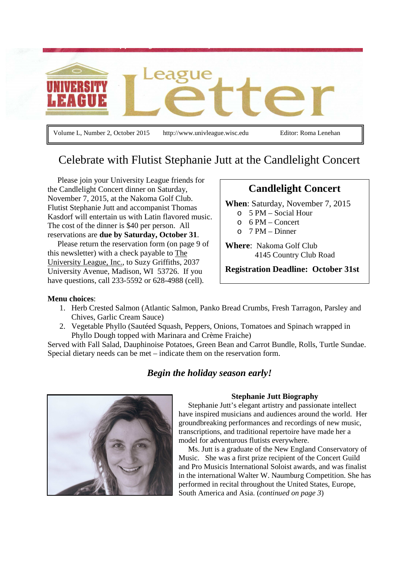

Volume L, Number 2, October 2015 http://www.univleague.wisc.edu Editor: Roma Lenehan

## Celebrate with Flutist Stephanie Jutt at the Candlelight Concert

 Please join your University League friends for the Candlelight Concert dinner on Saturday, November 7, 2015, at the Nakoma Golf Club. Flutist Stephanie Jutt and accompanist Thomas Kasdorf will entertain us with Latin flavored music. The cost of the dinner is \$40 per person. All reservations are **due by Saturday, October 31**.

 Please return the reservation form (on page 9 of this newsletter) with a check payable to The University League, Inc., to Suzy Griffiths, 2037 University Avenue, Madison, WI 53726. If you have questions, call 233-5592 or 628-4988 (cell).

### **Candlelight Concert**

**When**: Saturday, November 7, 2015

- o 5 PM Social Hour
- o 6 PM Concert
- $O<sub>7</sub>$  PM Dinner

**Where**: Nakoma Golf Club 4145 Country Club Road

**Registration Deadline: October 31st** 

#### **Menu choices**:

- 1. Herb Crested Salmon (Atlantic Salmon, Panko Bread Crumbs, Fresh Tarragon, Parsley and Chives, Garlic Cream Sauce)
- 2. Vegetable Phyllo (Sautéed Squash, Peppers, Onions, Tomatoes and Spinach wrapped in Phyllo Dough topped with Marinara and Crème Fraiche)

Served with Fall Salad, Dauphinoise Potatoes, Green Bean and Carrot Bundle, Rolls, Turtle Sundae. Special dietary needs can be met – indicate them on the reservation form.

### *Begin the holiday season early!*

#### **Stephanie Jutt Biography**

 Stephanie Jutt's elegant artistry and passionate intellect have inspired musicians and audiences around the world. Her groundbreaking performances and recordings of new music, transcriptions, and traditional repertoire have made her a model for adventurous flutists everywhere.

 Ms. Jutt is a graduate of the New England Conservatory of Music. She was a first prize recipient of the Concert Guild and Pro Musicis International Soloist awards, and was finalist in the international Walter W. Naumburg Competition. She has performed in recital throughout the United States, Europe, South America and Asia. (*continued on page 3*)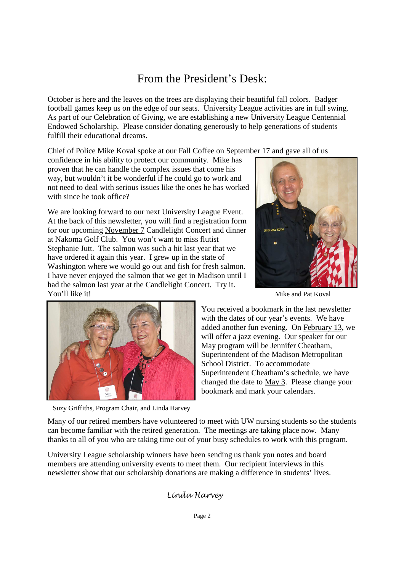# From the President's Desk:

October is here and the leaves on the trees are displaying their beautiful fall colors. Badger football games keep us on the edge of our seats. University League activities are in full swing. As part of our Celebration of Giving, we are establishing a new University League Centennial Endowed Scholarship. Please consider donating generously to help generations of students fulfill their educational dreams.

Chief of Police Mike Koval spoke at our Fall Coffee on September 17 and gave all of us

confidence in his ability to protect our community. Mike has proven that he can handle the complex issues that come his way, but wouldn't it be wonderful if he could go to work and not need to deal with serious issues like the ones he has worked with since he took office?

We are looking forward to our next University League Event. At the back of this newsletter, you will find a registration form for our upcoming November 7 Candlelight Concert and dinner at Nakoma Golf Club. You won't want to miss flutist Stephanie Jutt. The salmon was such a hit last year that we have ordered it again this year. I grew up in the state of Washington where we would go out and fish for fresh salmon. I have never enjoyed the salmon that we get in Madison until I had the salmon last year at the Candlelight Concert. Try it. **You'll like it!** Mike and Pat Koval





You received a bookmark in the last newsletter with the dates of our year's events. We have added another fun evening. On February 13, we will offer a jazz evening. Our speaker for our May program will be Jennifer Cheatham, Superintendent of the Madison Metropolitan School District. To accommodate Superintendent Cheatham's schedule, we have changed the date to May 3. Please change your bookmark and mark your calendars.

Suzy Griffiths, Program Chair, and Linda Harvey

Many of our retired members have volunteered to meet with UW nursing students so the students can become familiar with the retired generation. The meetings are taking place now. Many thanks to all of you who are taking time out of your busy schedules to work with this program.

University League scholarship winners have been sending us thank you notes and board members are attending university events to meet them. Our recipient interviews in this newsletter show that our scholarship donations are making a difference in students' lives.

### Linda Harvey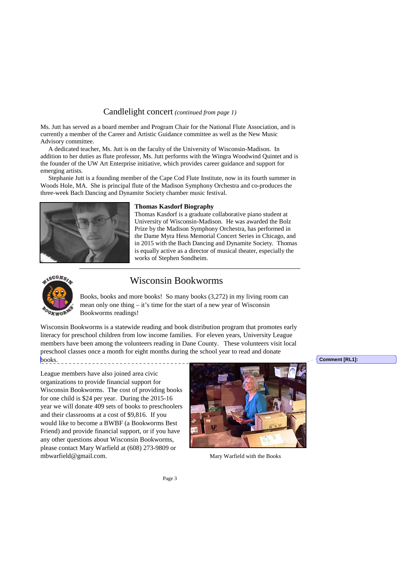#### Candlelight concert *(continued from page 1)*

Ms. Jutt has served as a board member and Program Chair for the National Flute Association, and is currently a member of the Career and Artistic Guidance committee as well as the New Music Advisory committee.

 A dedicated teacher, Ms. Jutt is on the faculty of the University of Wisconsin-Madison. In addition to her duties as flute professor, Ms. Jutt performs with the Wingra Woodwind Quintet and is the founder of the UW Art Enterprise initiative, which provides career guidance and support for emerging artists.

 Stephanie Jutt is a founding member of the Cape Cod Flute Institute, now in its fourth summer in Woods Hole, MA. She is principal flute of the Madison Symphony Orchestra and co-produces the three-week Bach Dancing and Dynamite Society chamber music festival.



#### **Thomas Kasdorf Biography**

Thomas Kasdorf is a graduate collaborative piano student at University of Wisconsin-Madison. He was awarded the Bolz Prize by the Madison Symphony Orchestra, has performed in the Dame Myra Hess Memorial Concert Series in Chicago, and in 2015 with the Bach Dancing and Dynamite Society. Thomas is equally active as a director of musical theater, especially the works of Stephen Sondheim.



### Wisconsin Bookworms

Books, books and more books! So many books (3,272) in my living room can mean only one thing – it's time for the start of a new year of Wisconsin Bookworms readings!

Wisconsin Bookworms is a statewide reading and book distribution program that promotes early literacy for preschool children from low income families. For eleven years, University League members have been among the volunteers reading in Dane County. These volunteers visit local preschool classes once a month for eight months during the school year to read and donate  $books$ .

League members have also joined area civic organizations to provide financial support for Wisconsin Bookworms. The cost of providing books for one child is \$24 per year. During the 2015-16 year we will donate 409 sets of books to preschoolers and their classrooms at a cost of \$9,816. If you would like to become a BWBF (a Bookworms Best Friend) and provide financial support, or if you have any other questions about Wisconsin Bookworms, please contact Mary Warfield at (608) 273-9809 or mbwarfield@gmail.com. Mary Warfield with the Books



**Comment [RL1]:**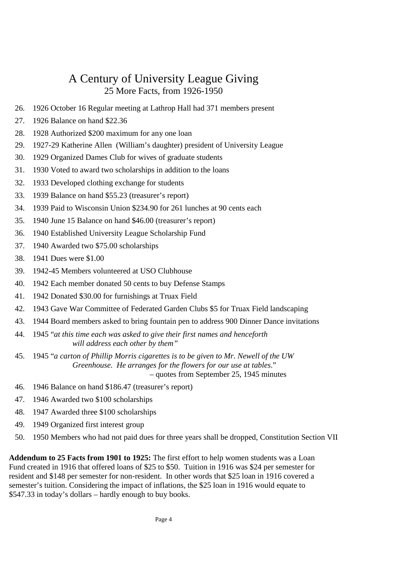## A Century of University League Giving 25 More Facts, from 1926-1950

- 26. 1926 October 16 Regular meeting at Lathrop Hall had 371 members present
- 27. 1926 Balance on hand \$22.36
- 28. 1928 Authorized \$200 maximum for any one loan
- 29. 1927-29 Katherine Allen (William's daughter) president of University League
- 30. 1929 Organized Dames Club for wives of graduate students
- 31. 1930 Voted to award two scholarships in addition to the loans
- 32. 1933 Developed clothing exchange for students
- 33. 1939 Balance on hand \$55.23 (treasurer's report)
- 34. 1939 Paid to Wisconsin Union \$234.90 for 261 lunches at 90 cents each
- 35. 1940 June 15 Balance on hand \$46.00 (treasurer's report)
- 36. 1940 Established University League Scholarship Fund
- 37. 1940 Awarded two \$75.00 scholarships
- 38. 1941 Dues were \$1.00
- 39. 1942-45 Members volunteered at USO Clubhouse
- 40. 1942 Each member donated 50 cents to buy Defense Stamps
- 41. 1942 Donated \$30.00 for furnishings at Truax Field
- 42. 1943 Gave War Committee of Federated Garden Clubs \$5 for Truax Field landscaping
- 43. 1944 Board members asked to bring fountain pen to address 900 Dinner Dance invitations
- 44. 1945 "*at this time each was asked to give their first names and henceforth will address each other by them"*
- 45. 1945 "*a carton of Phillip Morris cigarettes is to be given to Mr. Newell of the UW Greenhouse. He arranges for the flowers for our use at tables*." – quotes from September 25, 1945 minutes
- 46. 1946 Balance on hand \$186.47 (treasurer's report)
- 47. 1946 Awarded two \$100 scholarships
- 48. 1947 Awarded three \$100 scholarships
- 49. 1949 Organized first interest group
- 50. 1950 Members who had not paid dues for three years shall be dropped, Constitution Section VII

**Addendum to 25 Facts from 1901 to 1925:** The first effort to help women students was a Loan Fund created in 1916 that offered loans of \$25 to \$50. Tuition in 1916 was \$24 per semester for resident and \$148 per semester for non-resident. In other words that \$25 loan in 1916 covered a semester's tuition. Considering the impact of inflations, the \$25 loan in 1916 would equate to \$547.33 in today's dollars – hardly enough to buy books.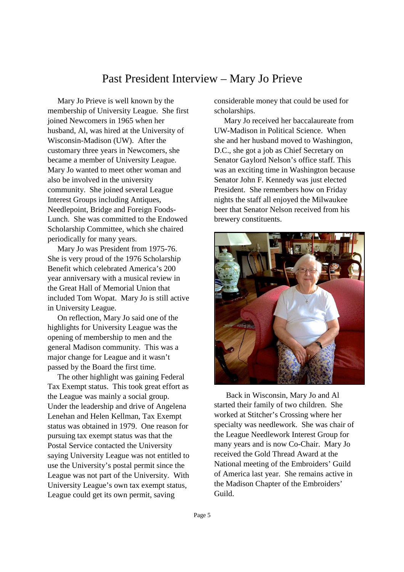## Past President Interview – Mary Jo Prieve

 Mary Jo Prieve is well known by the membership of University League. She first joined Newcomers in 1965 when her husband, Al, was hired at the University of Wisconsin-Madison (UW). After the customary three years in Newcomers, she became a member of University League. Mary Jo wanted to meet other woman and also be involved in the university community. She joined several League Interest Groups including Antiques, Needlepoint, Bridge and Foreign Foods-Lunch. She was committed to the Endowed Scholarship Committee, which she chaired periodically for many years.

 Mary Jo was President from 1975-76. She is very proud of the 1976 Scholarship Benefit which celebrated America's 200 year anniversary with a musical review in the Great Hall of Memorial Union that included Tom Wopat. Mary Jo is still active in University League.

 On reflection, Mary Jo said one of the highlights for University League was the opening of membership to men and the general Madison community. This was a major change for League and it wasn't passed by the Board the first time.

 The other highlight was gaining Federal Tax Exempt status. This took great effort as the League was mainly a social group. Under the leadership and drive of Angelena Lenehan and Helen Kellman, Tax Exempt status was obtained in 1979. One reason for pursuing tax exempt status was that the Postal Service contacted the University saying University League was not entitled to use the University's postal permit since the League was not part of the University. With University League's own tax exempt status, League could get its own permit, saving

considerable money that could be used for scholarships.

 Mary Jo received her baccalaureate from UW-Madison in Political Science. When she and her husband moved to Washington, D.C., she got a job as Chief Secretary on Senator Gaylord Nelson's office staff. This was an exciting time in Washington because Senator John F. Kennedy was just elected President. She remembers how on Friday nights the staff all enjoyed the Milwaukee beer that Senator Nelson received from his brewery constituents.



 Back in Wisconsin, Mary Jo and Al started their family of two children. She worked at Stitcher's Crossing where her specialty was needlework. She was chair of the League Needlework Interest Group for many years and is now Co-Chair. Mary Jo received the Gold Thread Award at the National meeting of the Embroiders' Guild of America last year. She remains active in the Madison Chapter of the Embroiders' Guild.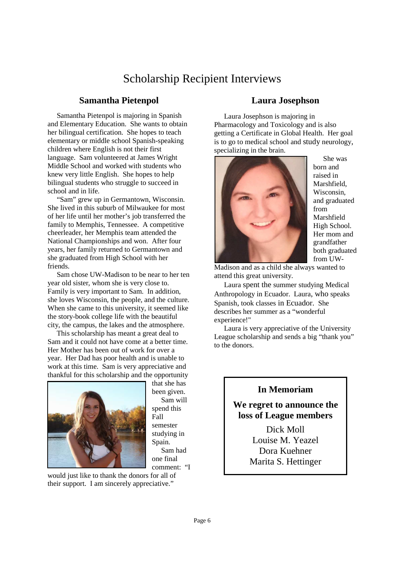## Scholarship Recipient Interviews

#### **Samantha Pietenpol**

 Samantha Pietenpol is majoring in Spanish and Elementary Education. She wants to obtain her bilingual certification. She hopes to teach elementary or middle school Spanish-speaking children where English is not their first language. Sam volunteered at James Wright Middle School and worked with students who knew very little English. She hopes to help bilingual students who struggle to succeed in school and in life.

 "Sam" grew up in Germantown, Wisconsin. She lived in this suburb of Milwaukee for most of her life until her mother's job transferred the family to Memphis, Tennessee. A competitive cheerleader, her Memphis team attended the National Championships and won. After four years, her family returned to Germantown and she graduated from High School with her friends.

 Sam chose UW-Madison to be near to her ten year old sister, whom she is very close to. Family is very important to Sam. In addition, she loves Wisconsin, the people, and the culture. When she came to this university, it seemed like the story-book college life with the beautiful city, the campus, the lakes and the atmosphere.

 This scholarship has meant a great deal to Sam and it could not have come at a better time. Her Mother has been out of work for over a year. Her Dad has poor health and is unable to work at this time. Sam is very appreciative and thankful for this scholarship and the opportunity



that she has been given. Sam will spend this Fall semester studying in Spain. Sam had one final comment: "I

would just like to thank the donors for all of their support. I am sincerely appreciative."

#### **Laura Josephson**

 Laura Josephson is majoring in Pharmacology and Toxicology and is also getting a Certificate in Global Health. Her goal is to go to medical school and study neurology, specializing in the brain.



 She was born and raised in Marshfield, Wisconsin, and graduated from Marshfield High School. Her mom and grandfather both graduated from UW-

Madison and as a child she always wanted to attend this great university.

 Laura spent the summer studying Medical Anthropology in Ecuador. Laura, who speaks Spanish, took classes in Ecuador. She describes her summer as a "wonderful experience!"

 Laura is very appreciative of the University League scholarship and sends a big "thank you" to the donors.

### **In Memoriam**

### **We regret to announce the loss of League members**

Dick Moll Louise M. Yeazel Dora Kuehner Marita S. Hettinger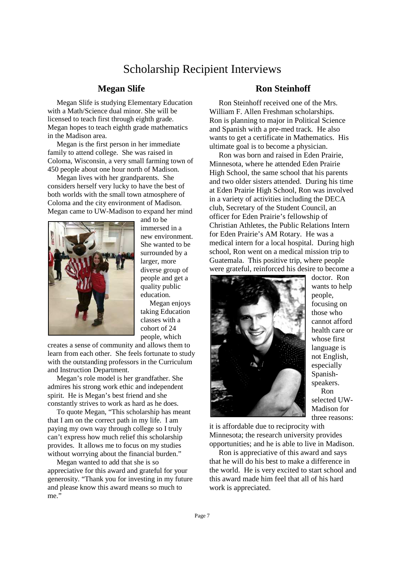## Scholarship Recipient Interviews

#### **Megan Slife**

 Megan Slife is studying Elementary Education with a Math/Science dual minor. She will be licensed to teach first through eighth grade. Megan hopes to teach eighth grade mathematics in the Madison area.

 Megan is the first person in her immediate family to attend college. She was raised in Coloma, Wisconsin, a very small farming town of 450 people about one hour north of Madison.

 Megan lives with her grandparents. She considers herself very lucky to have the best of both worlds with the small town atmosphere of Coloma and the city environment of Madison. Megan came to UW-Madison to expand her mind



and to be immersed in a new environment. She wanted to be surrounded by a larger, more diverse group of people and get a quality public education.

 Megan enjoys taking Education classes with a cohort of 24 people, which

creates a sense of community and allows them to learn from each other. She feels fortunate to study with the outstanding professors in the Curriculum and Instruction Department.

 Megan's role model is her grandfather. She admires his strong work ethic and independent spirit. He is Megan's best friend and she constantly strives to work as hard as he does.

 To quote Megan, "This scholarship has meant that I am on the correct path in my life. I am paying my own way through college so I truly can't express how much relief this scholarship provides. It allows me to focus on my studies without worrying about the financial burden."

 Megan wanted to add that she is so appreciative for this award and grateful for your generosity. "Thank you for investing in my future and please know this award means so much to me"

### **Ron Steinhoff**

 Ron Steinhoff received one of the Mrs. William F. Allen Freshman scholarships. Ron is planning to major in Political Science and Spanish with a pre-med track. He also wants to get a certificate in Mathematics. His ultimate goal is to become a physician.

 Ron was born and raised in Eden Prairie, Minnesota, where he attended Eden Prairie High School, the same school that his parents and two older sisters attended. During his time at Eden Prairie High School, Ron was involved in a variety of activities including the DECA club, Secretary of the Student Council, an officer for Eden Prairie's fellowship of Christian Athletes, the Public Relations Intern for Eden Prairie's AM Rotary. He was a medical intern for a local hospital. During high school, Ron went on a medical mission trip to Guatemala. This positive trip, where people were grateful, reinforced his desire to become a



doctor. Ron wants to help people, focusing on those who cannot afford health care or whose first language is not English, especially Spanishspeakers. Ron

selected UW-Madison for three reasons:

it is affordable due to reciprocity with Minnesota; the research university provides opportunities; and he is able to live in Madison.

 Ron is appreciative of this award and says that he will do his best to make a difference in the world. He is very excited to start school and this award made him feel that all of his hard work is appreciated.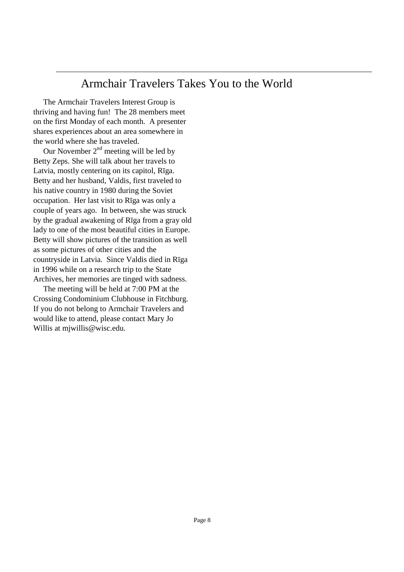## Armchair Travelers Takes You to the World

 The Armchair Travelers Interest Group is thriving and having fun! The 28 members meet on the first Monday of each month. A presenter shares experiences about an area somewhere in the world where she has traveled.

Our November  $2<sup>nd</sup>$  meeting will be led by Betty Zeps. She will talk about her travels to Latvia, mostly centering on its capitol, Rīga. Betty and her husband, Valdis, first traveled to his native country in 1980 during the Soviet occupation. Her last visit to Rīga was only a couple of years ago. In between, she was struck by the gradual awakening of Rīga from a gray old lady to one of the most beautiful cities in Europe. Betty will show pictures of the transition as well as some pictures of other cities and the countryside in Latvia. Since Valdis died in Rīga in 1996 while on a research trip to the State Archives, her memories are tinged with sadness.

 The meeting will be held at 7:00 PM at the Crossing Condominium Clubhouse in Fitchburg. If you do not belong to Armchair Travelers and would like to attend, please contact Mary Jo Willis at mjwillis@wisc.edu.